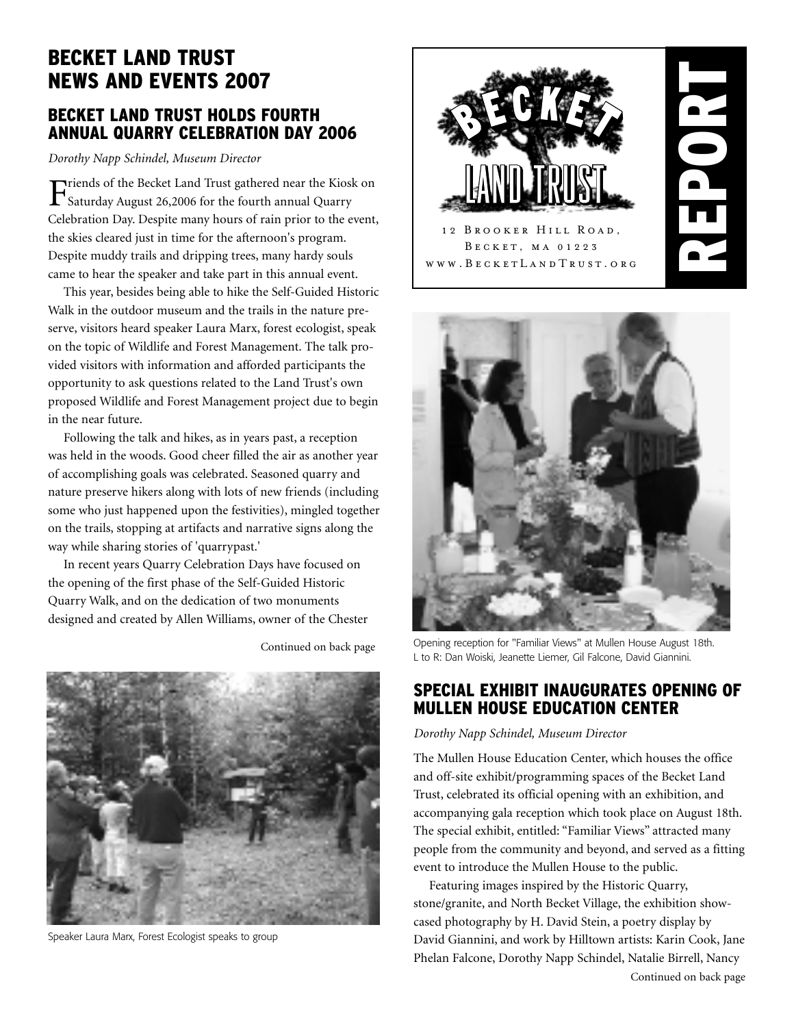# **BECKET LAND TRUST NEWS AND EVENTS 2007**

### **BECKET LAND TRUST HOLDS FOURTH ANNUAL QUARRY CELEBRATION DAY 2006**

*Dorothy Napp Schindel, Museum Director*

Friends of the Becket Land Trust gathered near the Kiosk on Saturday August 26,2006 for the fourth annual Quarry Celebration Day. Despite many hours of rain prior to the event, the skies cleared just in time for the afternoon's program. Despite muddy trails and dripping trees, many hardy souls came to hear the speaker and take part in this annual event.

This year, besides being able to hike the Self-Guided Historic Walk in the outdoor museum and the trails in the nature preserve, visitors heard speaker Laura Marx, forest ecologist, speak on the topic of Wildlife and Forest Management. The talk provided visitors with information and afforded participants the opportunity to ask questions related to the Land Trust's own proposed Wildlife and Forest Management project due to begin in the near future.

Following the talk and hikes, as in years past, a reception was held in the woods. Good cheer filled the air as another year of accomplishing goals was celebrated. Seasoned quarry and nature preserve hikers along with lots of new friends (including some who just happened upon the festivities), mingled together on the trails, stopping at artifacts and narrative signs along the way while sharing stories of 'quarrypast.'

In recent years Quarry Celebration Days have focused on the opening of the first phase of the Self-Guided Historic Quarry Walk, and on the dedication of two monuments designed and created by Allen Williams, owner of the Chester

Continued on back page



Speaker Laura Marx, Forest Ecologist speaks to group





Opening reception for "Familiar Views" at Mullen House August 18th. L to R: Dan Woiski, Jeanette Liemer, Gil Falcone, David Giannini.

### **SPECIAL EXHIBIT INAUGURATES OPENING OF MULLEN HOUSE EDUCATION CENTER**

*Dorothy Napp Schindel, Museum Director*

The Mullen House Education Center, which houses the office and off-site exhibit/programming spaces of the Becket Land Trust, celebrated its official opening with an exhibition, and accompanying gala reception which took place on August 18th. The special exhibit, entitled: "Familiar Views" attracted many people from the community and beyond, and served as a fitting event to introduce the Mullen House to the public.

Featuring images inspired by the Historic Quarry, stone/granite, and North Becket Village, the exhibition showcased photography by H. David Stein, a poetry display by David Giannini, and work by Hilltown artists: Karin Cook, Jane Phelan Falcone, Dorothy Napp Schindel, Natalie Birrell, Nancy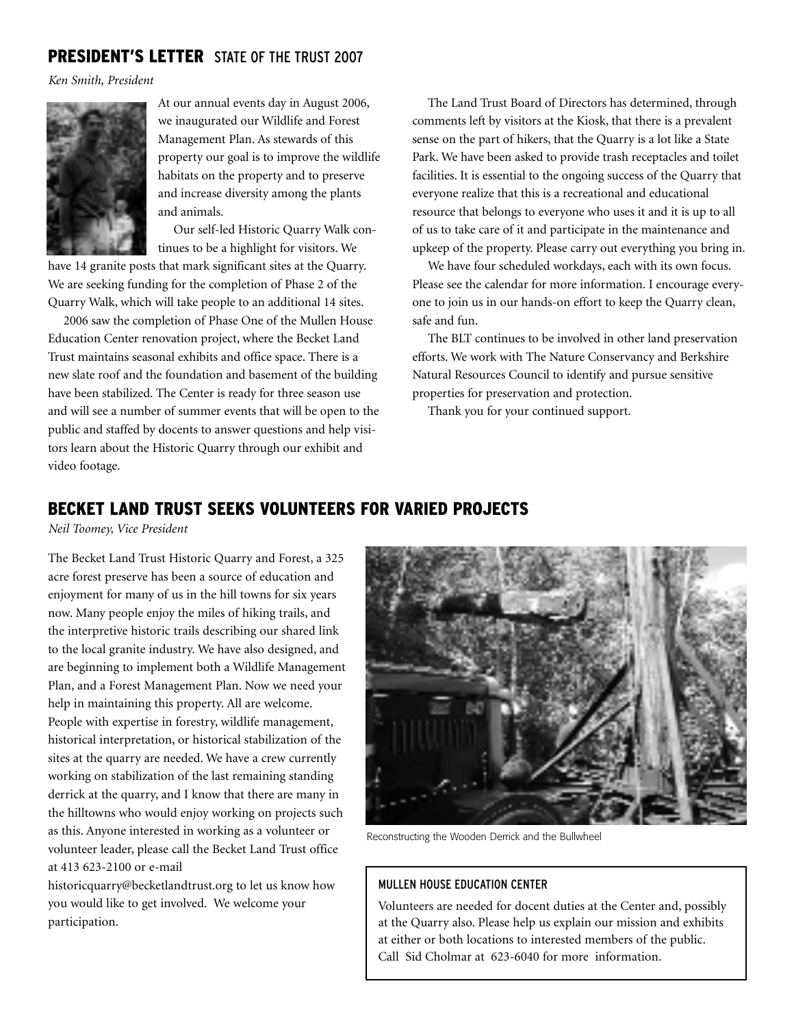### **PRESIDENT'S LETTER** STATE OF THE TRUST 2007

*Ken Smith, President*



At our annual events day in August 2006, we inaugurated our Wildlife and Forest Management Plan. As stewards of this property our goal is to improve the wildlife habitats on the property and to preserve and increase diversity among the plants and animals.

Our self-led Historic Quarry Walk continues to be a highlight for visitors. We

have 14 granite posts that mark significant sites at the Quarry. We are seeking funding for the completion of Phase 2 of the Quarry Walk, which will take people to an additional 14 sites.

2006 saw the completion of Phase One of the Mullen House Education Center renovation project, where the Becket Land Trust maintains seasonal exhibits and office space. There is a new slate roof and the foundation and basement of the building have been stabilized. The Center is ready for three season use and will see a number of summer events that will be open to the public and staffed by docents to answer questions and help visitors learn about the Historic Quarry through our exhibit and video footage.

The Land Trust Board of Directors has determined, through comments left by visitors at the Kiosk, that there is a prevalent sense on the part of hikers, that the Quarry is a lot like a State Park. We have been asked to provide trash receptacles and toilet facilities. It is essential to the ongoing success of the Quarry that everyone realize that this is a recreational and educational resource that belongs to everyone who uses it and it is up to all of us to take care of it and participate in the maintenance and upkeep of the property. Please carry out everything you bring in.

We have four scheduled workdays, each with its own focus. Please see the calendar for more information. I encourage everyone to join us in our hands-on effort to keep the Quarry clean, safe and fun.

The BLT continues to be involved in other land preservation efforts. We work with The Nature Conservancy and Berkshire Natural Resources Council to identify and pursue sensitive properties for preservation and protection.

Thank you for your continued support.

### **BECKET LAND TRUST SEEKS VOLUNTEERS FOR VARIED PROJECTS**

*Neil Toomey, Vice President*

The Becket Land Trust Historic Quarry and Forest, a 325 acre forest preserve has been a source of education and enjoyment for many of us in the hill towns for six years now. Many people enjoy the miles of hiking trails, and the interpretive historic trails describing our shared link to the local granite industry. We have also designed, and are beginning to implement both a Wildlife Management Plan, and a Forest Management Plan. Now we need your help in maintaining this property. All are welcome. People with expertise in forestry, wildlife management, historical interpretation, or historical stabilization of the sites at the quarry are needed. We have a crew currently working on stabilization of the last remaining standing derrick at the quarry, and I know that there are many in the hilltowns who would enjoy working on projects such as this. Anyone interested in working as a volunteer or volunteer leader, please call the Becket Land Trust office at 413 623-2100 or e-mail

historicquarry@becketlandtrust.org to let us know how you would like to get involved. We welcome your participation.



Reconstructing the Wooden Derrick and the Bullwheel

#### MULLEN HOUSE EDUCATION CENTER

Volunteers are needed for docent duties at the Center and, possibly at the Quarry also. Please help us explain our mission and exhibits at either or both locations to interested members of the public. Call Sid Cholmar at 623-6040 for more information.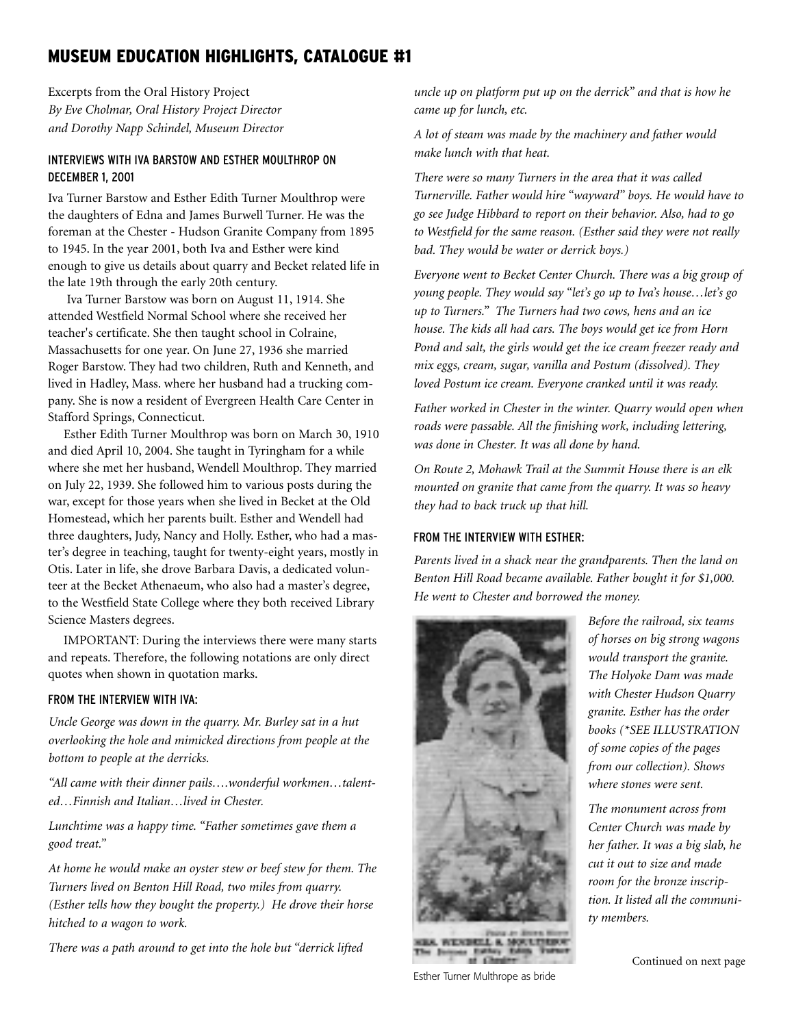## **MUSEUM EDUCATION HIGHLIGHTS, CATALOGUE #1**

Excerpts from the Oral History Project *By Eve Cholmar, Oral History Project Director and Dorothy Napp Schindel, Museum Director*

#### INTERVIEWS WITH IVA BARSTOW AND ESTHER MOULTHROP ON DECEMBER 1, 2001

Iva Turner Barstow and Esther Edith Turner Moulthrop were the daughters of Edna and James Burwell Turner. He was the foreman at the Chester - Hudson Granite Company from 1895 to 1945. In the year 2001, both Iva and Esther were kind enough to give us details about quarry and Becket related life in the late 19th through the early 20th century.

Iva Turner Barstow was born on August 11, 1914. She attended Westfield Normal School where she received her teacher's certificate. She then taught school in Colraine, Massachusetts for one year. On June 27, 1936 she married Roger Barstow. They had two children, Ruth and Kenneth, and lived in Hadley, Mass. where her husband had a trucking company. She is now a resident of Evergreen Health Care Center in Stafford Springs, Connecticut.

Esther Edith Turner Moulthrop was born on March 30, 1910 and died April 10, 2004. She taught in Tyringham for a while where she met her husband, Wendell Moulthrop. They married on July 22, 1939. She followed him to various posts during the war, except for those years when she lived in Becket at the Old Homestead, which her parents built. Esther and Wendell had three daughters, Judy, Nancy and Holly. Esther, who had a master's degree in teaching, taught for twenty-eight years, mostly in Otis. Later in life, she drove Barbara Davis, a dedicated volunteer at the Becket Athenaeum, who also had a master's degree, to the Westfield State College where they both received Library Science Masters degrees.

IMPORTANT: During the interviews there were many starts and repeats. Therefore, the following notations are only direct quotes when shown in quotation marks.

#### FROM THE INTERVIEW WITH IVA:

*Uncle George was down in the quarry. Mr. Burley sat in a hut overlooking the hole and mimicked directions from people at the bottom to people at the derricks.*

*"All came with their dinner pails….wonderful workmen…talented…Finnish and Italian…lived in Chester.*

*Lunchtime was a happy time. "Father sometimes gave them a good treat."*

*At home he would make an oyster stew or beef stew for them. The Turners lived on Benton Hill Road, two miles from quarry. (Esther tells how they bought the property.) He drove their horse hitched to a wagon to work.*

*There was a path around to get into the hole but "derrick lifted*

*uncle up on platform put up on the derrick" and that is how he came up for lunch, etc.*

*A lot of steam was made by the machinery and father would make lunch with that heat.*

*There were so many Turners in the area that it was called Turnerville. Father would hire "wayward" boys. He would have to go see Judge Hibbard to report on their behavior. Also, had to go to Westfield for the same reason. (Esther said they were not really bad. They would be water or derrick boys.)*

*Everyone went to Becket Center Church. There was a big group of young people. They would say "let's go up to Iva's house…let's go up to Turners." The Turners had two cows, hens and an ice house. The kids all had cars. The boys would get ice from Horn Pond and salt, the girls would get the ice cream freezer ready and mix eggs, cream, sugar, vanilla and Postum (dissolved). They loved Postum ice cream. Everyone cranked until it was ready.*

*Father worked in Chester in the winter. Quarry would open when roads were passable. All the finishing work, including lettering, was done in Chester. It was all done by hand.*

*On Route 2, Mohawk Trail at the Summit House there is an elk mounted on granite that came from the quarry. It was so heavy they had to back truck up that hill.*

#### FROM THE INTERVIEW WITH ESTHER:

*Parents lived in a shack near the grandparents. Then the land on Benton Hill Road became available. Father bought it for \$1,000. He went to Chester and borrowed the money.*



WEIGHTED AT **MOULTING** 

Esther Turner Multhrope as bride

*Before the railroad, six teams of horses on big strong wagons would transport the granite. The Holyoke Dam was made with Chester Hudson Quarry granite. Esther has the order books (\*SEE ILLUSTRATION of some copies of the pages from our collection). Shows where stones were sent.*

*The monument across from Center Church was made by her father. It was a big slab, he cut it out to size and made room for the bronze inscription. It listed all the community members.*